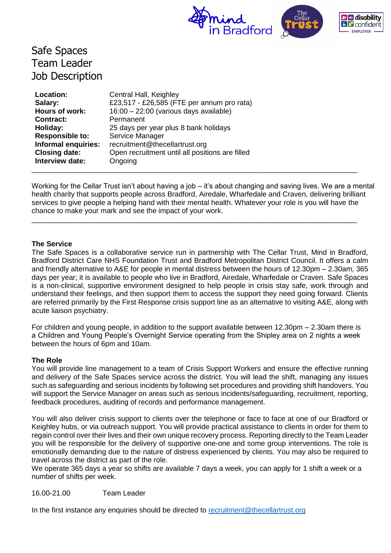

# Safe Spaces Team Leader Job Description

| Location:              | Central Hall, Keighley                          |
|------------------------|-------------------------------------------------|
| Salary:                | £23,517 - £26,585 (FTE per annum pro rata)      |
| Hours of work:         | 16:00 - 22:00 (various days available)          |
| <b>Contract:</b>       | Permanent                                       |
| Holiday:               | 25 days per year plus 8 bank holidays           |
| <b>Responsible to:</b> | Service Manager                                 |
| Informal enquiries:    | recruitment@thecellartrust.org                  |
| <b>Closing date:</b>   | Open recruitment until all positions are filled |
| Interview date:        | Ongoing                                         |
|                        |                                                 |

Working for the Cellar Trust isn't about having a job – it's about changing and saving lives. We are a mental health charity that supports people across Bradford, Airedale, Wharfedale and Craven, delivering brilliant services to give people a helping hand with their mental health. Whatever your role is you will have the chance to make your mark and see the impact of your work.

\_\_\_\_\_\_\_\_\_\_\_\_\_\_\_\_\_\_\_\_\_\_\_\_\_\_\_\_\_\_\_\_\_\_\_\_\_\_\_\_\_\_\_\_\_\_\_\_\_\_\_\_\_\_\_\_\_\_\_\_\_\_\_\_\_\_\_\_\_\_\_\_\_\_\_\_\_\_\_\_\_

#### **The Service**

The Safe Spaces is a collaborative service run in partnership with The Cellar Trust, Mind in Bradford, Bradford District Care NHS Foundation Trust and Bradford Metropolitan District Council. It offers a calm and friendly alternative to A&E for people in mental distress between the hours of 12.30pm – 2.30am, 365 days per year; it is available to people who live in Bradford, Airedale, Wharfedale or Craven. Safe Spaces is a non-clinical, supportive environment designed to help people in crisis stay safe, work through and understand their feelings, and then support them to access the support they need going forward. Clients are referred primarily by the First Response crisis support line as an alternative to visiting A&E, along with acute liaison psychiatry.

For children and young people, in addition to the support available between 12.30pm – 2.30am there is a Children and Young People's Overnight Service operating from the Shipley area on 2 nights a week between the hours of 6pm and 10am.

#### **The Role**

You will provide line management to a team of Crisis Support Workers and ensure the effective running and delivery of the Safe Spaces service across the district. You will lead the shift, managing any issues such as safeguarding and serious incidents by following set procedures and providing shift handovers. You will support the Service Manager on areas such as serious incidents/safeguarding, recruitment, reporting, feedback procedures, auditing of records and performance management.

You will also deliver crisis support to clients over the telephone or face to face at one of our Bradford or Keighley hubs, or via outreach support. You will provide practical assistance to clients in order for them to regain control over their lives and their own unique recovery process. Reporting directly to the Team Leader you will be responsible for the delivery of supportive one-one and some group interventions. The role is emotionally demanding due to the nature of distress experienced by clients. You may also be required to travel across the district as part of the role.

We operate 365 days a year so shifts are available 7 days a week, you can apply for 1 shift a week or a number of shifts per week.

#### 16.00-21.00 Team Leader

In the first instance any enquiries should be directed to [recruitment@thecellartrust.org](mailto:recruitment@thecellartrust.org.uk)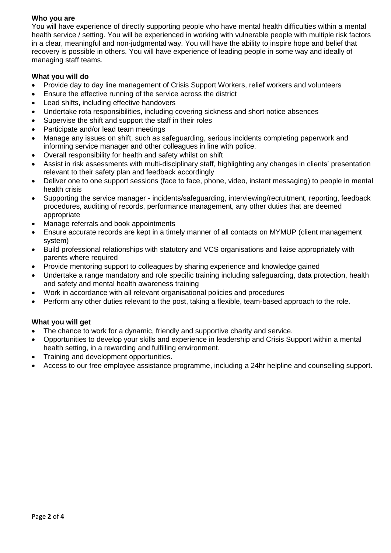## **Who you are**

You will have experience of directly supporting people who have mental health difficulties within a mental health service / setting. You will be experienced in working with vulnerable people with multiple risk factors in a clear, meaningful and non-judgmental way. You will have the ability to inspire hope and belief that recovery is possible in others. You will have experience of leading people in some way and ideally of managing staff teams.

## **What you will do**

- Provide day to day line management of Crisis Support Workers, relief workers and volunteers
- Ensure the effective running of the service across the district
- Lead shifts, including effective handovers
- Undertake rota responsibilities, including covering sickness and short notice absences
- Supervise the shift and support the staff in their roles
- Participate and/or lead team meetings
- Manage any issues on shift, such as safeguarding, serious incidents completing paperwork and informing service manager and other colleagues in line with police.
- Overall responsibility for health and safety whilst on shift
- Assist in risk assessments with multi-disciplinary staff, highlighting any changes in clients' presentation relevant to their safety plan and feedback accordingly
- Deliver one to one support sessions (face to face, phone, video, instant messaging) to people in mental health crisis
- Supporting the service manager incidents/safeguarding, interviewing/recruitment, reporting, feedback procedures, auditing of records, performance management, any other duties that are deemed appropriate
- Manage referrals and book appointments
- Ensure accurate records are kept in a timely manner of all contacts on MYMUP (client management system)
- Build professional relationships with statutory and VCS organisations and liaise appropriately with parents where required
- Provide mentoring support to colleagues by sharing experience and knowledge gained
- Undertake a range mandatory and role specific training including safeguarding, data protection, health and safety and mental health awareness training
- Work in accordance with all relevant organisational policies and procedures
- Perform any other duties relevant to the post, taking a flexible, team-based approach to the role.

# **What you will get**

- The chance to work for a dynamic, friendly and supportive charity and service.
- Opportunities to develop your skills and experience in leadership and Crisis Support within a mental health setting, in a rewarding and fulfilling environment.
- Training and development opportunities.
- Access to our free employee assistance programme, including a 24hr helpline and counselling support.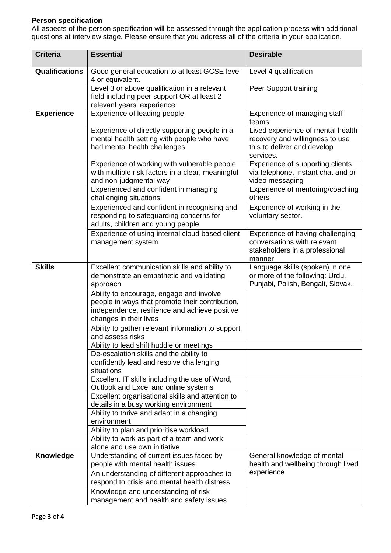# **Person specification**

All aspects of the person specification will be assessed through the application process with additional questions at interview stage. Please ensure that you address all of the criteria in your application.

| <b>Criteria</b>       | <b>Essential</b>                                                                                                                                                       | <b>Desirable</b>                                                                                                 |
|-----------------------|------------------------------------------------------------------------------------------------------------------------------------------------------------------------|------------------------------------------------------------------------------------------------------------------|
| <b>Qualifications</b> | Good general education to at least GCSE level<br>4 or equivalent.                                                                                                      | Level 4 qualification                                                                                            |
|                       | Level 3 or above qualification in a relevant<br>field including peer support OR at least 2<br>relevant years' experience                                               | Peer Support training                                                                                            |
| <b>Experience</b>     | Experience of leading people                                                                                                                                           | Experience of managing staff<br>teams                                                                            |
|                       | Experience of directly supporting people in a<br>mental health setting with people who have<br>had mental health challenges                                            | Lived experience of mental health<br>recovery and willingness to use<br>this to deliver and develop<br>services. |
|                       | Experience of working with vulnerable people<br>with multiple risk factors in a clear, meaningful<br>and non-judgmental way                                            | Experience of supporting clients<br>via telephone, instant chat and or<br>video messaging                        |
|                       | Experienced and confident in managing<br>challenging situations                                                                                                        | Experience of mentoring/coaching<br>others                                                                       |
|                       | Experienced and confident in recognising and<br>responding to safeguarding concerns for<br>adults, children and young people                                           | Experience of working in the<br>voluntary sector.                                                                |
|                       | Experience of using internal cloud based client<br>management system                                                                                                   | Experience of having challenging<br>conversations with relevant<br>stakeholders in a professional<br>manner      |
| <b>Skills</b>         | Excellent communication skills and ability to<br>demonstrate an empathetic and validating<br>approach                                                                  | Language skills (spoken) in one<br>or more of the following: Urdu,<br>Punjabi, Polish, Bengali, Slovak.          |
|                       | Ability to encourage, engage and involve<br>people in ways that promote their contribution,<br>independence, resilience and achieve positive<br>changes in their lives |                                                                                                                  |
|                       | Ability to gather relevant information to support<br>and assess risks                                                                                                  |                                                                                                                  |
|                       | Ability to lead shift huddle or meetings                                                                                                                               |                                                                                                                  |
|                       | De-escalation skills and the ability to                                                                                                                                |                                                                                                                  |
|                       | confidently lead and resolve challenging<br>situations                                                                                                                 |                                                                                                                  |
|                       | Excellent IT skills including the use of Word,                                                                                                                         |                                                                                                                  |
|                       | Outlook and Excel and online systems<br>Excellent organisational skills and attention to                                                                               |                                                                                                                  |
|                       | details in a busy working environment                                                                                                                                  |                                                                                                                  |
|                       | Ability to thrive and adapt in a changing                                                                                                                              |                                                                                                                  |
|                       | environment                                                                                                                                                            |                                                                                                                  |
|                       | Ability to plan and prioritise workload.                                                                                                                               |                                                                                                                  |
|                       | Ability to work as part of a team and work                                                                                                                             |                                                                                                                  |
|                       | alone and use own initiative                                                                                                                                           |                                                                                                                  |
| <b>Knowledge</b>      | Understanding of current issues faced by<br>people with mental health issues                                                                                           | General knowledge of mental<br>health and wellbeing through lived                                                |
|                       | An understanding of different approaches to                                                                                                                            | experience                                                                                                       |
|                       | respond to crisis and mental health distress                                                                                                                           |                                                                                                                  |
|                       | Knowledge and understanding of risk                                                                                                                                    |                                                                                                                  |
|                       | management and health and safety issues                                                                                                                                |                                                                                                                  |